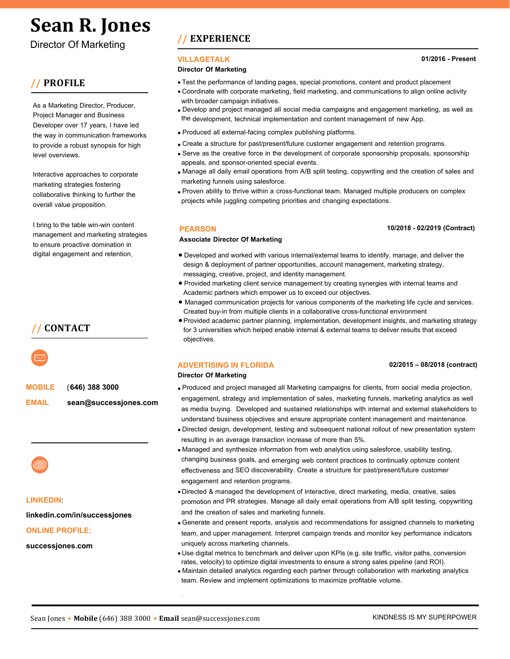# **Sean R. Jones**

**Director Of Marketing** 

# // PROFILE

and Marketing Director it ears e erience in ot and creati e scri t riting dget anage ent rod cing and directing co ercia and cor orate ideo rod ction ro ects and strategize digita aigns a to ation cа de e o ent and e entation i.

nco assing strategic anning a itati e and antitati e researc interacti e arketing creati e de e o ent edia anning and ing data ase direct arketing ic re ations sa es ro otion data dri en ad ertising ideo rod cing and scri t riting it t e a jit to ro ide creati e inno ati e ent siastic or ard t inking eaders i in a tea en iron ent

I bring to the table win-win content management and marketing strategies to ensure proactive domination in digital engagement and retention.

**MOBILE** (646) 388 3000

**EMAIL** sean@successjones.com



**LINKEDIN** 

linkedin.com/in/successjones

**ONLINE PROFILE:** 

successiones.com

# / EXPERIENCE

#### **VILLAGETALK**

#### **Director Of Marketing**

- V Test the performance of landing pages, special promotions, content and product placement using Google Analytics.
- $\nabla$ Coordinate with corporate marketing, field marketing, and communications to align online activity with broader campaign initiatives.
- Developed and project managed all social media campaigns and engagement  $\nabla$ marketing, as well as the development, technical implementation and content management of new Mobile App.
- $\nabla$ Produced all external-facing content to various publishing platforms.
- Created a structure for past/present/future customer engagement and retention  $\nabla$ programs.
- $\nabla$ Serve as the creative force in the development of corporate sponsorship proposals. sponsorship appeals, and sponsor-oriented special events.
- Manage all daily email operations from A/B split testing, copywriting and the creation of sales and marketing funnels using Salesforce Marketing Cloud and Adobe Experience Manager.
- $\nabla$ Proven ability to thrive within a cross-functional team. Managed multiple producers on complex projects while juggling competing priorities and changing expectations.

#### **PEARSON**

#### 10/2018 - 02/2019 (Contract)

#### **Associate Director Of Marketing**

- Developed and worked with various internal/external teams to identify, manage, and  $\nabla$ deliver the design & deployment of partner opportunities, account management, marketing strategy, Amessaging, creative, project, and identity management.
- $\nabla$ Provided marketing client service management by creating synergies with internal teams and academic partners which empower us to exceed our objectives.
- $\nabla$ Managed communication projects for various components of the marketing life cycle and services. Created buy-in from multiple clients in a collaborative cross-functional environment
- $\nabla$ Provided academic partner planning, implementation, development insights, and marketing strategy for 3 universities using Adobe Experience Cloud products, Google Analytics and Salesforce Marketing Cloud and proprietary software, which helped enable internal & external teams to deliver results that exceed objectives.
- Directed & managed the development of interactive, direct marketing, media, creative,  $\nabla$ sales promotion and PR strategies. Managed all daily email operations from A/B split testing, copywriting and the creation of sales and marketing funnels.

#### **ADVERTISING IN FLORIDA**

**Director Of Marketing** 

#### 02/2015 - 08/2018 (contract)

- V Produced and project managed all Marketing campaigns for clients, from social media projection, lengagement, strategy and implementation of sales, marketing funnels, marketing analytics as well as media buying. Developed and sustained relationships with internal and external stakeholders to understand business objectives and ensure appropriate content management and maintenance.
- Directed design, development, testing and subsequent national rollout of new presentation system resulting in an average transaction increase of more than 5%.
- Generate and present reports, analysis and recommendations for assigned channels to marketing team, and upper management. Interpret campaign trends and monitor key performance indicators uniquely across marketing channels.
- Use digital metrics to benchmark and deliver upon KPIs (e.g. site traffic, visitor paths, conversion rates, velocity) to optimize digital investments to ensure a strong sales pipeline (and ROI).
- $\nabla$ Maintain detailed analytics regarding each partner through collaboration with marketing analytics team using Google Analytics. Review and implement optimizations to maximize profitable volume.
- Managed and synthesize information from web analytics using salesforce, Adobe  $\nabla$ Magento (now Adobe Commerce) usability testing, changing business goals, and emerging web content practices to continually optimize content effectiveness and SEO discoverability. Create a structure for past/present/future customer engagement and retention programs.